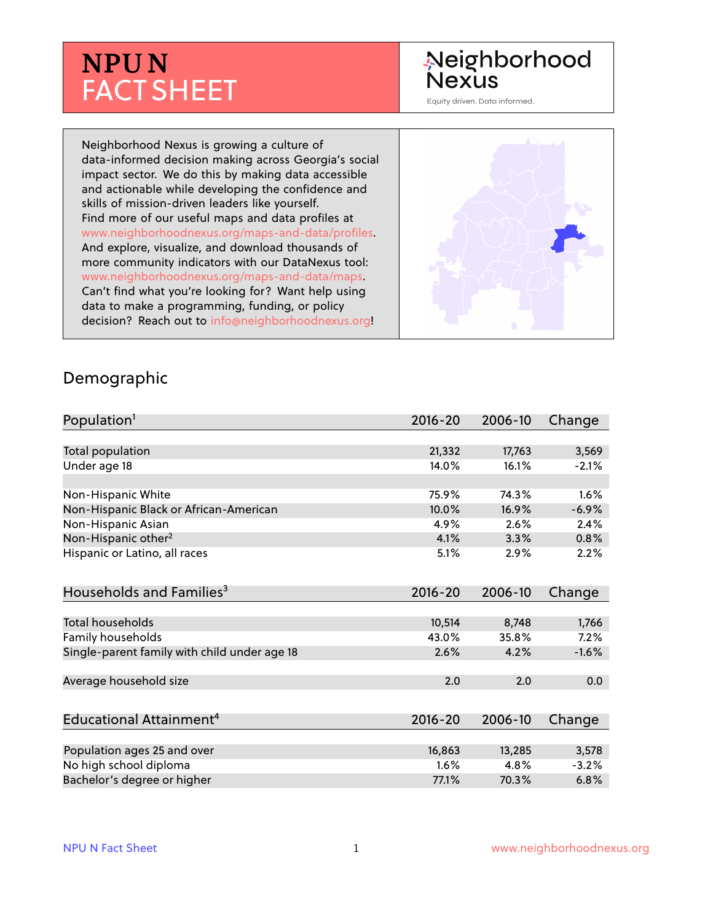# **NPU N** FACT SHEET

## Neighborhood **Nexus**

Equity driven. Data informed.

Neighborhood Nexus is growing a culture of data-informed decision making across Georgia's social impact sector. We do this by making data accessible and actionable while developing the confidence and skills of mission-driven leaders like yourself. Find more of our useful maps and data profiles at www.neighborhoodnexus.org/maps-and-data/profiles. And explore, visualize, and download thousands of more community indicators with our DataNexus tool: www.neighborhoodnexus.org/maps-and-data/maps. Can't find what you're looking for? Want help using data to make a programming, funding, or policy decision? Reach out to [info@neighborhoodnexus.org!](mailto:info@neighborhoodnexus.org)



#### Demographic

| Population <sup>1</sup>                      | $2016 - 20$ | 2006-10 | Change  |
|----------------------------------------------|-------------|---------|---------|
|                                              |             |         |         |
| Total population                             | 21,332      | 17,763  | 3,569   |
| Under age 18                                 | 14.0%       | 16.1%   | $-2.1%$ |
| Non-Hispanic White                           | 75.9%       | 74.3%   | 1.6%    |
| Non-Hispanic Black or African-American       | 10.0%       | 16.9%   | $-6.9%$ |
| Non-Hispanic Asian                           | 4.9%        | 2.6%    | 2.4%    |
| Non-Hispanic other <sup>2</sup>              | 4.1%        | 3.3%    | 0.8%    |
| Hispanic or Latino, all races                | 5.1%        | 2.9%    | 2.2%    |
| Households and Families <sup>3</sup>         | $2016 - 20$ | 2006-10 | Change  |
| Total households                             | 10,514      | 8,748   | 1,766   |
| Family households                            | 43.0%       | 35.8%   | 7.2%    |
| Single-parent family with child under age 18 | 2.6%        | 4.2%    | $-1.6%$ |
| Average household size                       | 2.0         | 2.0     | 0.0     |
| Educational Attainment <sup>4</sup>          | $2016 - 20$ | 2006-10 | Change  |
|                                              |             |         |         |
| Population ages 25 and over                  | 16,863      | 13,285  | 3,578   |
| No high school diploma                       | 1.6%        | 4.8%    | $-3.2%$ |
| Bachelor's degree or higher                  | 77.1%       | 70.3%   | 6.8%    |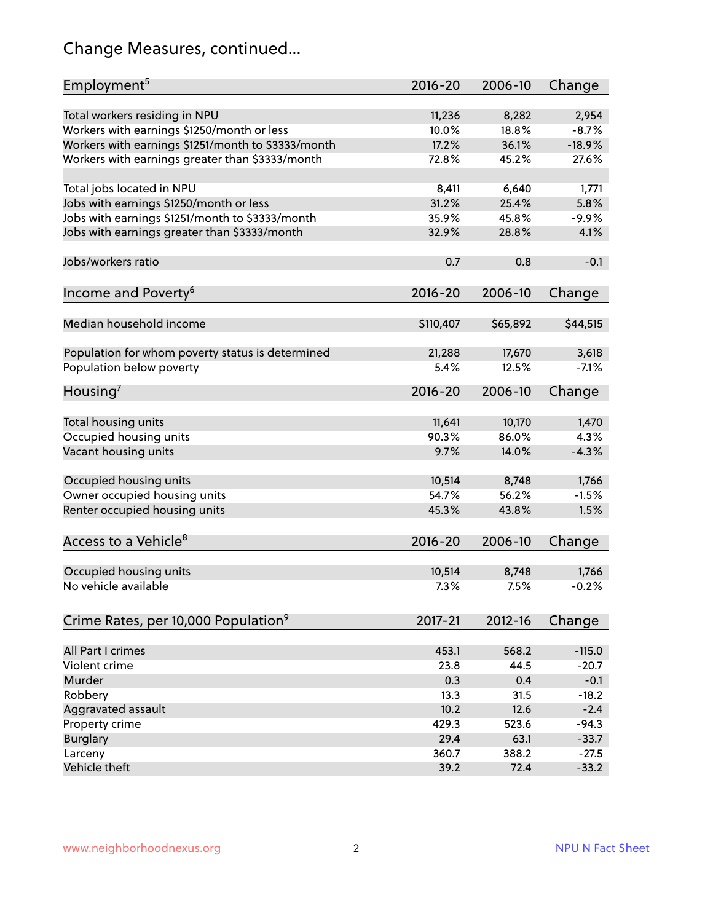## Change Measures, continued...

| Employment <sup>5</sup>                            | $2016 - 20$ | 2006-10  | Change   |
|----------------------------------------------------|-------------|----------|----------|
|                                                    |             |          |          |
| Total workers residing in NPU                      | 11,236      | 8,282    | 2,954    |
| Workers with earnings \$1250/month or less         | 10.0%       | 18.8%    | $-8.7%$  |
| Workers with earnings \$1251/month to \$3333/month | 17.2%       | 36.1%    | $-18.9%$ |
| Workers with earnings greater than \$3333/month    | 72.8%       | 45.2%    | 27.6%    |
| Total jobs located in NPU                          | 8,411       | 6,640    | 1,771    |
| Jobs with earnings \$1250/month or less            | 31.2%       | 25.4%    | 5.8%     |
| Jobs with earnings \$1251/month to \$3333/month    | 35.9%       | 45.8%    | $-9.9%$  |
| Jobs with earnings greater than \$3333/month       | 32.9%       | 28.8%    | 4.1%     |
|                                                    |             |          |          |
| Jobs/workers ratio                                 | 0.7         | 0.8      | $-0.1$   |
| Income and Poverty <sup>6</sup>                    | $2016 - 20$ | 2006-10  | Change   |
|                                                    |             |          |          |
| Median household income                            | \$110,407   | \$65,892 | \$44,515 |
|                                                    |             |          |          |
| Population for whom poverty status is determined   | 21,288      | 17,670   | 3,618    |
| Population below poverty                           | 5.4%        | 12.5%    | $-7.1%$  |
| Housing <sup>7</sup>                               | $2016 - 20$ | 2006-10  | Change   |
|                                                    |             |          |          |
| Total housing units                                | 11,641      | 10,170   | 1,470    |
| Occupied housing units                             | 90.3%       | 86.0%    | 4.3%     |
| Vacant housing units                               | 9.7%        | 14.0%    | $-4.3%$  |
|                                                    |             |          |          |
| Occupied housing units                             | 10,514      | 8,748    | 1,766    |
| Owner occupied housing units                       | 54.7%       | 56.2%    | $-1.5%$  |
| Renter occupied housing units                      | 45.3%       | 43.8%    | 1.5%     |
|                                                    |             |          |          |
| Access to a Vehicle <sup>8</sup>                   | $2016 - 20$ | 2006-10  | Change   |
|                                                    |             |          |          |
| Occupied housing units                             | 10,514      | 8,748    | 1,766    |
| No vehicle available                               | 7.3%        | 7.5%     | $-0.2%$  |
| Crime Rates, per 10,000 Population <sup>9</sup>    | 2017-21     | 2012-16  | Change   |
|                                                    |             |          |          |
| All Part I crimes                                  | 453.1       | 568.2    | $-115.0$ |
| Violent crime                                      | 23.8        | 44.5     | $-20.7$  |
| Murder                                             | 0.3         | 0.4      | $-0.1$   |
| Robbery                                            | 13.3        | 31.5     | $-18.2$  |
| Aggravated assault                                 | 10.2        | 12.6     | $-2.4$   |
| Property crime                                     | 429.3       | 523.6    | $-94.3$  |
| <b>Burglary</b>                                    | 29.4        | 63.1     | $-33.7$  |
| Larceny                                            | 360.7       | 388.2    | $-27.5$  |
| Vehicle theft                                      | 39.2        | 72.4     | $-33.2$  |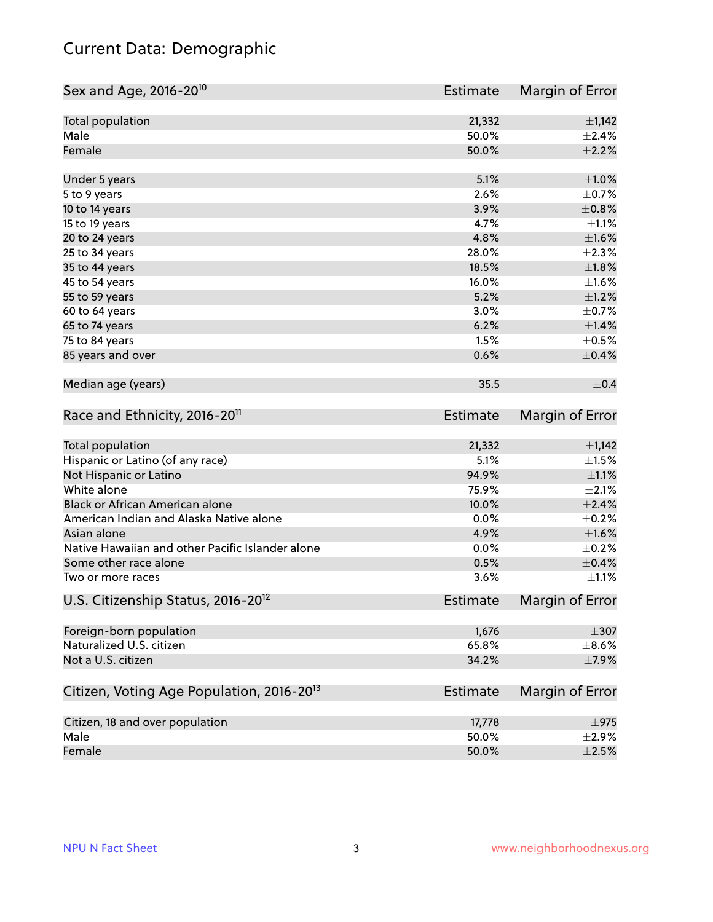## Current Data: Demographic

| Sex and Age, 2016-20 <sup>10</sup>                    | <b>Estimate</b> | Margin of Error |
|-------------------------------------------------------|-----------------|-----------------|
| Total population                                      | 21,332          | $\pm$ 1,142     |
| Male                                                  | 50.0%           | ±2.4%           |
| Female                                                | 50.0%           | $\pm 2.2\%$     |
| Under 5 years                                         | 5.1%            | $\pm 1.0\%$     |
| 5 to 9 years                                          | 2.6%            | $\pm$ 0.7%      |
| 10 to 14 years                                        | 3.9%            | $\pm$ 0.8%      |
| 15 to 19 years                                        | 4.7%            | $\pm 1.1\%$     |
| 20 to 24 years                                        | 4.8%            | $\pm1.6\%$      |
| 25 to 34 years                                        | 28.0%           | $\pm 2.3\%$     |
| 35 to 44 years                                        | 18.5%           | $\pm 1.8\%$     |
| 45 to 54 years                                        | 16.0%           | $\pm 1.6\%$     |
| 55 to 59 years                                        | 5.2%            | $\pm 1.2\%$     |
| 60 to 64 years                                        | 3.0%            | $\pm$ 0.7%      |
| 65 to 74 years                                        | 6.2%            | $\pm 1.4\%$     |
| 75 to 84 years                                        | 1.5%            | $\pm$ 0.5%      |
| 85 years and over                                     | 0.6%            | $\pm$ 0.4%      |
| Median age (years)                                    | 35.5            | $\pm$ 0.4       |
| Race and Ethnicity, 2016-20 <sup>11</sup>             | Estimate        | Margin of Error |
| <b>Total population</b>                               | 21,332          | $\pm$ 1,142     |
| Hispanic or Latino (of any race)                      | 5.1%            | $\pm 1.5\%$     |
| Not Hispanic or Latino                                | 94.9%           | $\pm 1.1\%$     |
| White alone                                           | 75.9%           | $\pm 2.1\%$     |
| Black or African American alone                       | 10.0%           | $\pm 2.4\%$     |
| American Indian and Alaska Native alone               | 0.0%            | $\pm$ 0.2%      |
| Asian alone                                           | 4.9%            | $\pm1.6\%$      |
| Native Hawaiian and other Pacific Islander alone      | 0.0%            | $\pm$ 0.2%      |
| Some other race alone                                 | 0.5%            | $\pm$ 0.4%      |
| Two or more races                                     | 3.6%            | $\pm 1.1\%$     |
| U.S. Citizenship Status, 2016-20 <sup>12</sup>        | <b>Estimate</b> | Margin of Error |
| Foreign-born population                               | 1,676           | $\pm 307$       |
| Naturalized U.S. citizen                              | 65.8%           | $\pm$ 8.6%      |
| Not a U.S. citizen                                    | 34.2%           | $\pm$ 7.9%      |
| Citizen, Voting Age Population, 2016-20 <sup>13</sup> | <b>Estimate</b> | Margin of Error |
| Citizen, 18 and over population                       | 17,778          | $\pm$ 975       |
| Male                                                  | 50.0%           | $\pm 2.9\%$     |
| Female                                                | 50.0%           | $\pm 2.5\%$     |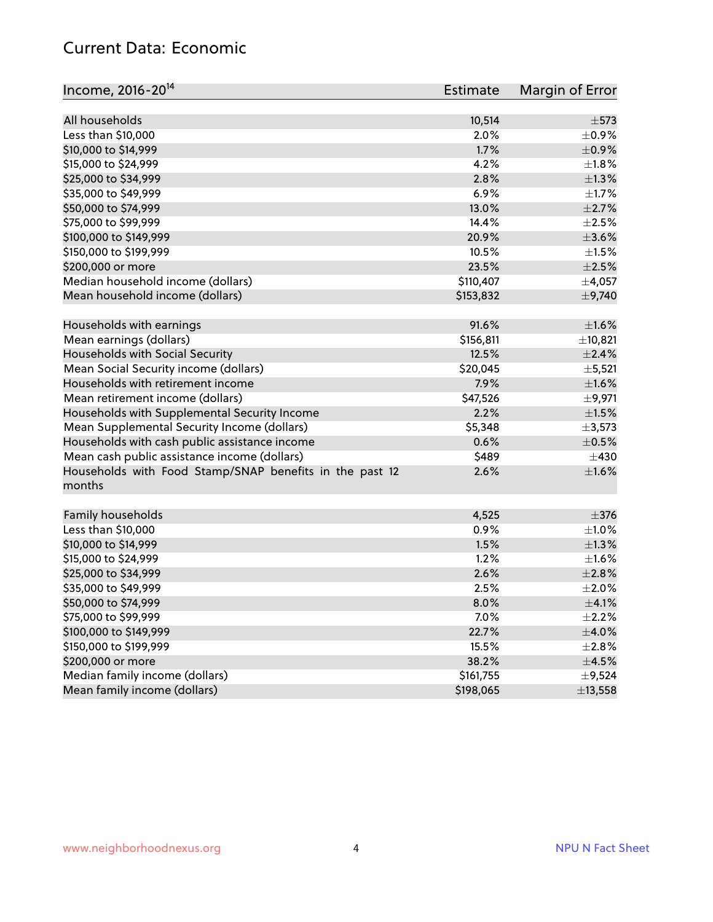#### Current Data: Economic

| Income, 2016-20 <sup>14</sup>                           | Estimate  | Margin of Error |
|---------------------------------------------------------|-----------|-----------------|
|                                                         |           |                 |
| All households                                          | 10,514    | $\pm$ 573       |
| Less than \$10,000                                      | 2.0%      | $\pm$ 0.9%      |
| \$10,000 to \$14,999                                    | 1.7%      | $\pm$ 0.9%      |
| \$15,000 to \$24,999                                    | 4.2%      | $\pm 1.8\%$     |
| \$25,000 to \$34,999                                    | 2.8%      | $\pm 1.3\%$     |
| \$35,000 to \$49,999                                    | 6.9%      | $\pm 1.7\%$     |
| \$50,000 to \$74,999                                    | 13.0%     | $\pm 2.7\%$     |
| \$75,000 to \$99,999                                    | 14.4%     | $\pm 2.5\%$     |
| \$100,000 to \$149,999                                  | 20.9%     | $\pm 3.6\%$     |
| \$150,000 to \$199,999                                  | 10.5%     | $\pm 1.5\%$     |
| \$200,000 or more                                       | 23.5%     | $\pm 2.5\%$     |
| Median household income (dollars)                       | \$110,407 | $\pm$ 4,057     |
| Mean household income (dollars)                         | \$153,832 | $\pm$ 9,740     |
| Households with earnings                                | 91.6%     | $\pm1.6\%$      |
| Mean earnings (dollars)                                 | \$156,811 | ±10,821         |
| Households with Social Security                         | 12.5%     | $\pm 2.4\%$     |
| Mean Social Security income (dollars)                   | \$20,045  | $\pm$ 5,521     |
| Households with retirement income                       | 7.9%      | $\pm1.6\%$      |
| Mean retirement income (dollars)                        | \$47,526  | ±9,971          |
| Households with Supplemental Security Income            | 2.2%      | $\pm 1.5\%$     |
| Mean Supplemental Security Income (dollars)             | \$5,348   | $\pm$ 3,573     |
| Households with cash public assistance income           | 0.6%      | $\pm$ 0.5%      |
| Mean cash public assistance income (dollars)            | \$489     | $\pm$ 430       |
| Households with Food Stamp/SNAP benefits in the past 12 | 2.6%      | $\pm1.6\%$      |
| months                                                  |           |                 |
| Family households                                       | 4,525     | $\pm$ 376       |
| Less than \$10,000                                      | 0.9%      | $\pm 1.0\%$     |
| \$10,000 to \$14,999                                    | 1.5%      | $\pm 1.3\%$     |
| \$15,000 to \$24,999                                    | 1.2%      | $\pm 1.6\%$     |
| \$25,000 to \$34,999                                    | 2.6%      | $\pm 2.8\%$     |
|                                                         |           |                 |
| \$35,000 to \$49,999                                    | 2.5%      | $\pm 2.0\%$     |
| \$50,000 to \$74,999                                    | 8.0%      | $\pm$ 4.1%      |
| \$75,000 to \$99,999                                    | 7.0%      | $\pm 2.2\%$     |
| \$100,000 to \$149,999                                  | 22.7%     | $\pm$ 4.0%      |
| \$150,000 to \$199,999                                  | 15.5%     | $\pm 2.8\%$     |
| \$200,000 or more                                       | 38.2%     | $\pm$ 4.5%      |
| Median family income (dollars)                          | \$161,755 | $\pm$ 9,524     |
| Mean family income (dollars)                            | \$198,065 | ±13,558         |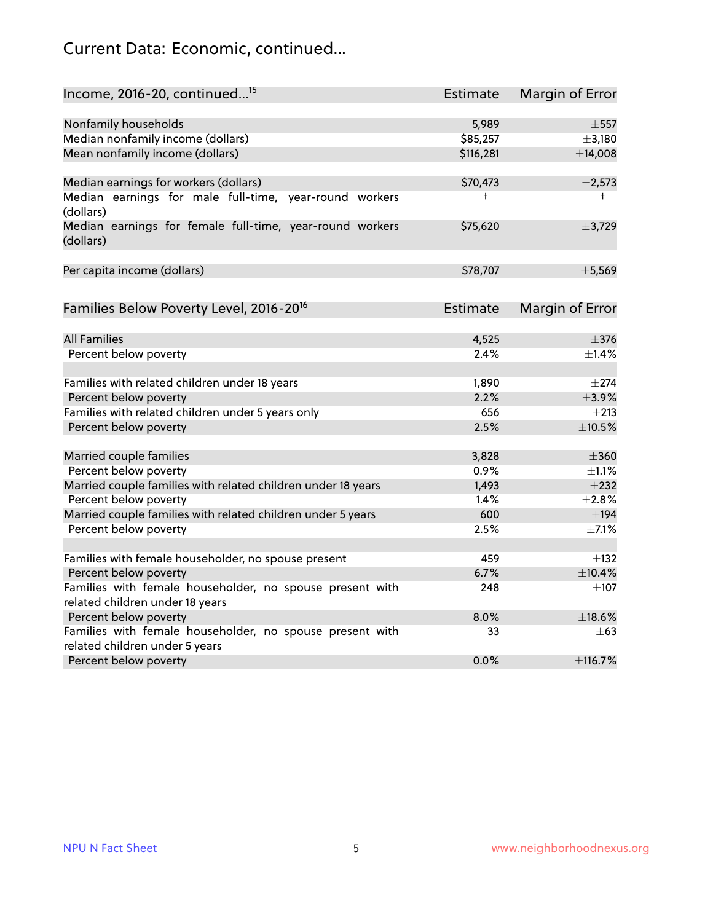## Current Data: Economic, continued...

| Income, 2016-20, continued <sup>15</sup>                              | <b>Estimate</b> | <b>Margin of Error</b> |
|-----------------------------------------------------------------------|-----------------|------------------------|
|                                                                       |                 |                        |
| Nonfamily households                                                  | 5,989           | $\pm$ 557              |
| Median nonfamily income (dollars)                                     | \$85,257        | $\pm$ 3,180            |
| Mean nonfamily income (dollars)                                       | \$116,281       | ±14,008                |
| Median earnings for workers (dollars)                                 | \$70,473        | ±2,573                 |
| Median earnings for male full-time, year-round workers<br>(dollars)   | t               | $^+$                   |
| Median earnings for female full-time, year-round workers<br>(dollars) | \$75,620        | ±3,729                 |
| Per capita income (dollars)                                           | \$78,707        | ±5,569                 |
| Families Below Poverty Level, 2016-20 <sup>16</sup>                   | Estimate        | <b>Margin of Error</b> |
|                                                                       |                 |                        |
| <b>All Families</b>                                                   | 4,525           | $\pm$ 376              |
| Percent below poverty                                                 | 2.4%            | $\pm$ 1.4%             |
| Families with related children under 18 years                         | 1,890           | $\pm 274$              |
| Percent below poverty                                                 | 2.2%            | $\pm$ 3.9%             |
| Families with related children under 5 years only                     | 656             | $\pm 213$              |
| Percent below poverty                                                 | 2.5%            | $\pm$ 10.5%            |
| Married couple families                                               | 3,828           | $\pm 360$              |
| Percent below poverty                                                 | 0.9%            | $\pm 1.1\%$            |
| Married couple families with related children under 18 years          | 1,493           | $\pm 232$              |
| Percent below poverty                                                 | 1.4%            | ±2.8%                  |
| Married couple families with related children under 5 years           | 600             | $\pm$ 194              |
| Percent below poverty                                                 | 2.5%            | $\pm$ 7.1%             |
| Families with female householder, no spouse present                   | 459             | $\pm$ 132              |
| Percent below poverty                                                 | 6.7%            | ±10.4%                 |
| Families with female householder, no spouse present with              | 248             | $\pm$ 107              |
| related children under 18 years                                       |                 |                        |
| Percent below poverty                                                 | 8.0%            | $\pm$ 18.6%            |
| Families with female householder, no spouse present with              | 33              | $\pm 63$               |
| related children under 5 years                                        |                 |                        |
| Percent below poverty                                                 | 0.0%            | ±116.7%                |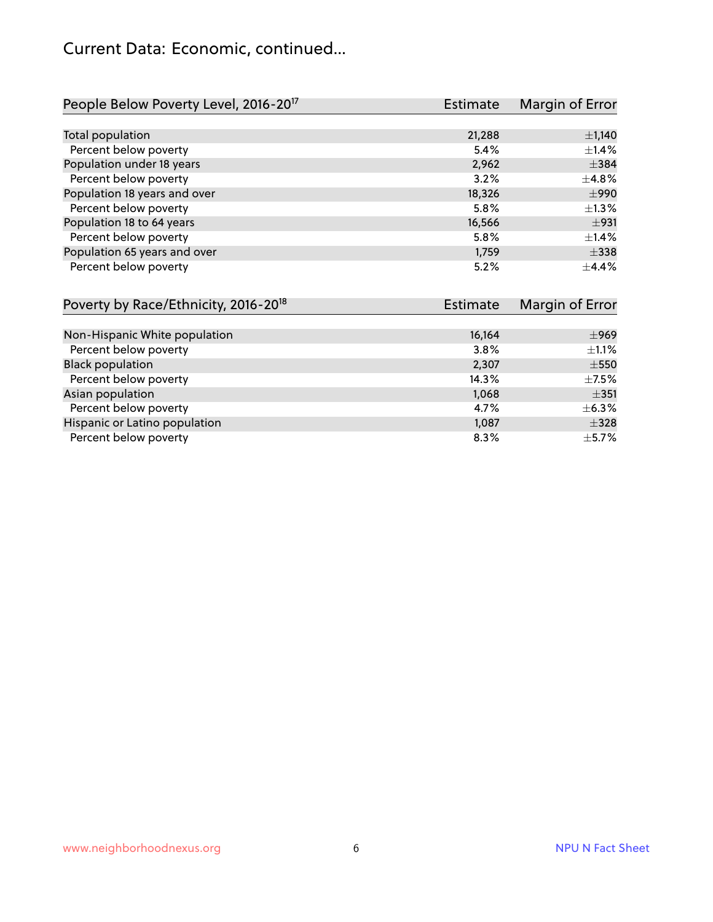## Current Data: Economic, continued...

| People Below Poverty Level, 2016-20 <sup>17</sup> | <b>Estimate</b> | Margin of Error |
|---------------------------------------------------|-----------------|-----------------|
|                                                   |                 |                 |
| Total population                                  | 21,288          | $\pm$ 1,140     |
| Percent below poverty                             | 5.4%            | $\pm$ 1.4%      |
| Population under 18 years                         | 2,962           | $\pm$ 384       |
| Percent below poverty                             | 3.2%            | $\pm$ 4.8%      |
| Population 18 years and over                      | 18,326          | $\pm$ 990       |
| Percent below poverty                             | 5.8%            | $\pm 1.3\%$     |
| Population 18 to 64 years                         | 16,566          | ±931            |
| Percent below poverty                             | 5.8%            | $\pm$ 1.4%      |
| Population 65 years and over                      | 1,759           | $\pm$ 338       |
| Percent below poverty                             | 5.2%            | $\pm$ 4.4%      |

| Poverty by Race/Ethnicity, 2016-20 <sup>18</sup> | Estimate | Margin of Error |
|--------------------------------------------------|----------|-----------------|
|                                                  |          |                 |
| Non-Hispanic White population                    | 16,164   | $\pm$ 969       |
| Percent below poverty                            | 3.8%     | $\pm 1.1\%$     |
| <b>Black population</b>                          | 2,307    | $\pm$ 550       |
| Percent below poverty                            | 14.3%    | $\pm$ 7.5%      |
| Asian population                                 | 1,068    | $\pm$ 351       |
| Percent below poverty                            | 4.7%     | $\pm$ 6.3%      |
| Hispanic or Latino population                    | 1,087    | $\pm$ 328       |
| Percent below poverty                            | 8.3%     | $\pm$ 5.7%      |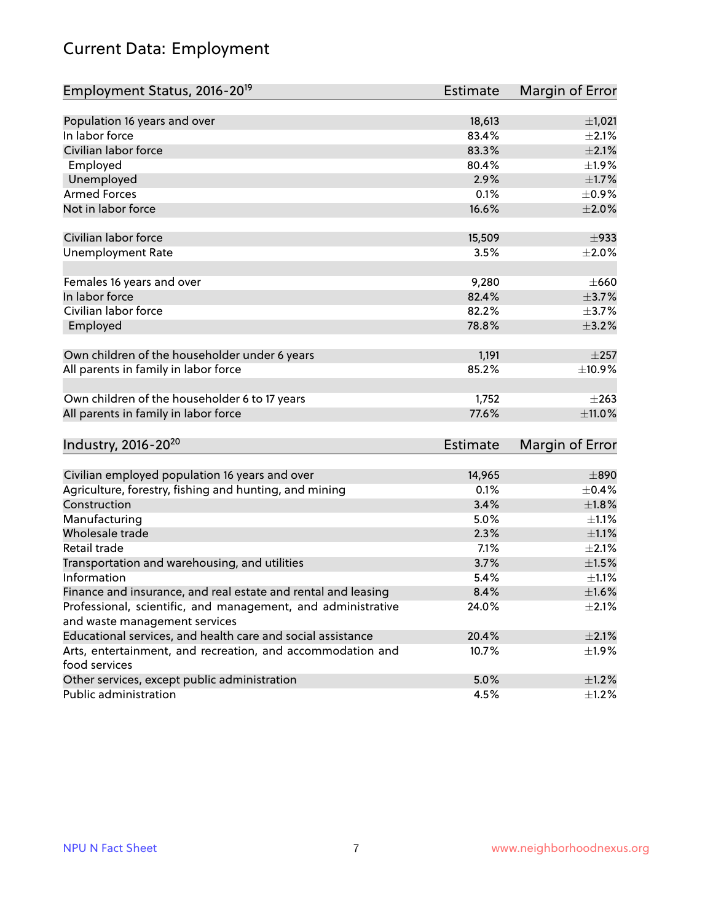## Current Data: Employment

| Employment Status, 2016-20 <sup>19</sup>                                    | Estimate | Margin of Error |
|-----------------------------------------------------------------------------|----------|-----------------|
|                                                                             |          |                 |
| Population 16 years and over                                                | 18,613   | ±1,021          |
| In labor force                                                              | 83.4%    | $\pm 2.1\%$     |
| Civilian labor force                                                        | 83.3%    | $\pm 2.1\%$     |
| Employed                                                                    | 80.4%    | ±1.9%           |
| Unemployed                                                                  | 2.9%     | $\pm1.7\%$      |
| <b>Armed Forces</b>                                                         | 0.1%     | $\pm$ 0.9%      |
| Not in labor force                                                          | 16.6%    | ±2.0%           |
| Civilian labor force                                                        | 15,509   | $\pm$ 933       |
| <b>Unemployment Rate</b>                                                    | 3.5%     | $\pm 2.0\%$     |
|                                                                             |          |                 |
| Females 16 years and over                                                   | 9,280    | $\pm 660$       |
| In labor force                                                              | 82.4%    | $\pm$ 3.7%      |
| Civilian labor force                                                        | 82.2%    | $\pm$ 3.7%      |
| Employed                                                                    | 78.8%    | $\pm$ 3.2%      |
|                                                                             |          |                 |
| Own children of the householder under 6 years                               | 1,191    | $\pm 257$       |
| All parents in family in labor force                                        | 85.2%    | ±10.9%          |
| Own children of the householder 6 to 17 years                               | 1,752    | $\pm 263$       |
| All parents in family in labor force                                        | 77.6%    | ±11.0%          |
|                                                                             |          |                 |
| Industry, 2016-20 <sup>20</sup>                                             | Estimate | Margin of Error |
|                                                                             |          |                 |
| Civilian employed population 16 years and over                              | 14,965   | $\pm 890$       |
| Agriculture, forestry, fishing and hunting, and mining                      | 0.1%     | $\pm$ 0.4%      |
| Construction                                                                | 3.4%     | $\pm1.8\%$      |
| Manufacturing                                                               | 5.0%     | $\pm 1.1\%$     |
| Wholesale trade                                                             | 2.3%     | $\pm 1.1\%$     |
| Retail trade                                                                | 7.1%     | $\pm 2.1\%$     |
| Transportation and warehousing, and utilities                               | 3.7%     | $\pm1.5\%$      |
| Information                                                                 | 5.4%     | $\pm 1.1\%$     |
| Finance and insurance, and real estate and rental and leasing               | 8.4%     | $\pm1.6\%$      |
| Professional, scientific, and management, and administrative                | 24.0%    | $\pm 2.1\%$     |
| and waste management services                                               |          |                 |
| Educational services, and health care and social assistance                 | 20.4%    | $\pm 2.1\%$     |
| Arts, entertainment, and recreation, and accommodation and<br>food services | 10.7%    | ±1.9%           |
| Other services, except public administration                                | 5.0%     | $\pm 1.2\%$     |
| Public administration                                                       | 4.5%     | $\pm$ 1.2%      |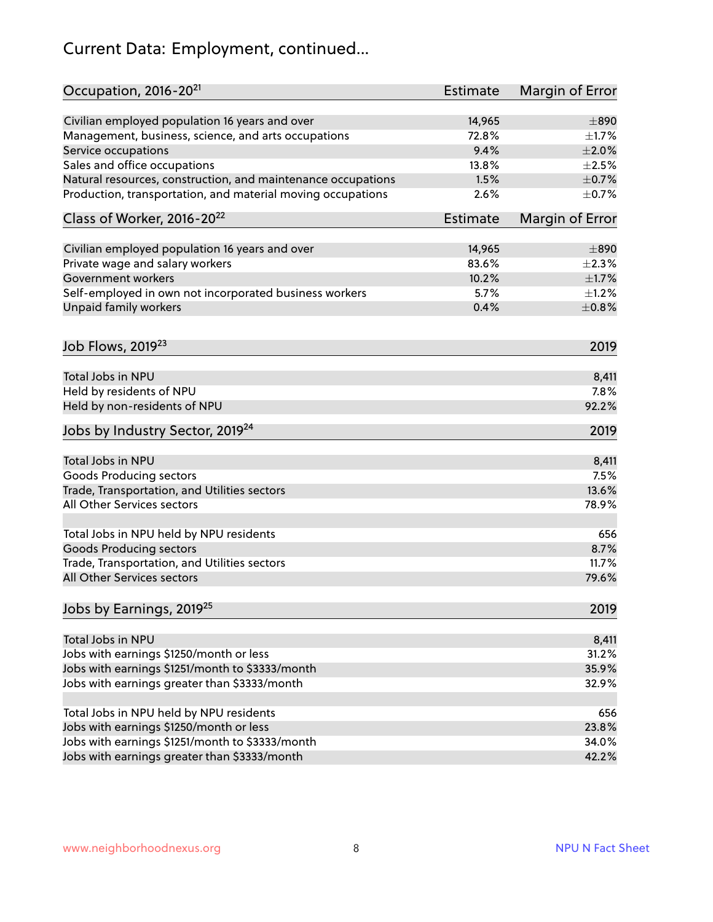## Current Data: Employment, continued...

| Occupation, 2016-20 <sup>21</sup>                            | <b>Estimate</b> | Margin of Error |
|--------------------------------------------------------------|-----------------|-----------------|
| Civilian employed population 16 years and over               | 14,965          | $\pm 890$       |
| Management, business, science, and arts occupations          | 72.8%           | $\pm 1.7\%$     |
| Service occupations                                          | 9.4%            | $\pm 2.0\%$     |
| Sales and office occupations                                 | 13.8%           | $\pm 2.5\%$     |
| Natural resources, construction, and maintenance occupations | 1.5%            | $\pm$ 0.7%      |
| Production, transportation, and material moving occupations  | 2.6%            | $\pm$ 0.7%      |
| Class of Worker, 2016-20 <sup>22</sup>                       | <b>Estimate</b> | Margin of Error |
| Civilian employed population 16 years and over               | 14,965          | $\pm 890$       |
| Private wage and salary workers                              | 83.6%           | $\pm 2.3\%$     |
| Government workers                                           | 10.2%           | $\pm 1.7\%$     |
| Self-employed in own not incorporated business workers       | 5.7%            | $\pm 1.2\%$     |
| <b>Unpaid family workers</b>                                 | 0.4%            | $\pm$ 0.8%      |
| Job Flows, 2019 <sup>23</sup>                                |                 | 2019            |
| Total Jobs in NPU                                            |                 | 8,411           |
| Held by residents of NPU                                     |                 | 7.8%            |
| Held by non-residents of NPU                                 |                 | 92.2%           |
| Jobs by Industry Sector, 2019 <sup>24</sup>                  |                 | 2019            |
| Total Jobs in NPU                                            |                 | 8,411           |
| <b>Goods Producing sectors</b>                               |                 | 7.5%            |
| Trade, Transportation, and Utilities sectors                 |                 | 13.6%           |
| All Other Services sectors                                   |                 | 78.9%           |
| Total Jobs in NPU held by NPU residents                      |                 | 656             |
| <b>Goods Producing sectors</b>                               |                 | 8.7%            |
| Trade, Transportation, and Utilities sectors                 |                 | 11.7%           |
| All Other Services sectors                                   |                 | 79.6%           |
| Jobs by Earnings, 2019 <sup>25</sup>                         |                 | 2019            |
| Total Jobs in NPU                                            |                 | 8,411           |
| Jobs with earnings \$1250/month or less                      |                 | 31.2%           |
| Jobs with earnings \$1251/month to \$3333/month              |                 | 35.9%           |
| Jobs with earnings greater than \$3333/month                 |                 | 32.9%           |
|                                                              |                 |                 |
| Total Jobs in NPU held by NPU residents                      |                 | 656             |
| Jobs with earnings \$1250/month or less                      |                 | 23.8%           |
| Jobs with earnings \$1251/month to \$3333/month              |                 | 34.0%           |
| Jobs with earnings greater than \$3333/month                 |                 | 42.2%           |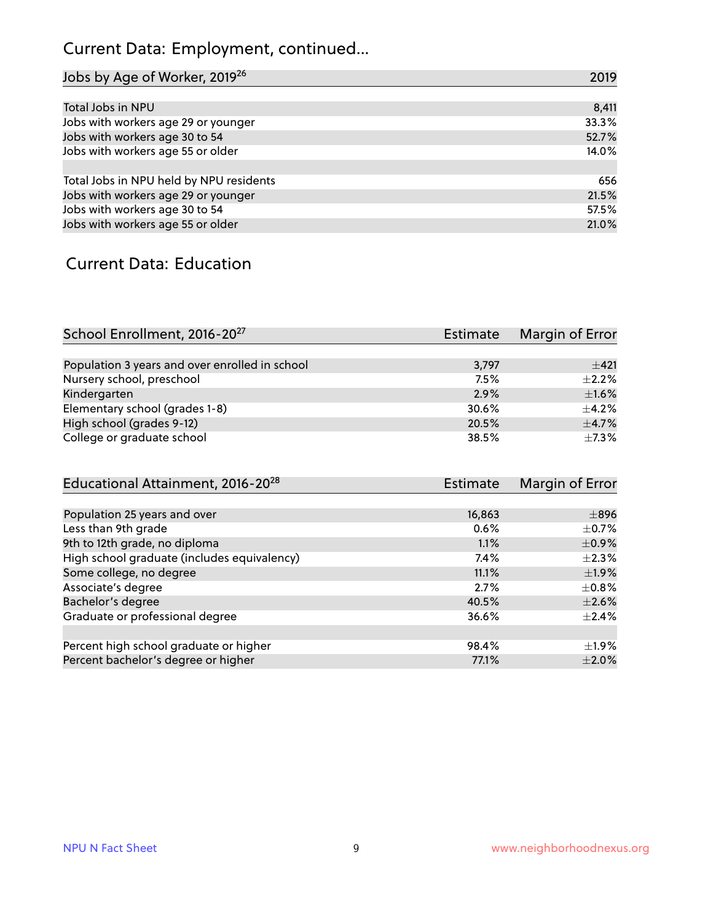## Current Data: Employment, continued...

| Jobs by Age of Worker, 2019 <sup>26</sup> | 2019  |
|-------------------------------------------|-------|
|                                           |       |
| Total Jobs in NPU                         | 8,411 |
| Jobs with workers age 29 or younger       | 33.3% |
| Jobs with workers age 30 to 54            | 52.7% |
| Jobs with workers age 55 or older         | 14.0% |
|                                           |       |
| Total Jobs in NPU held by NPU residents   | 656   |
| Jobs with workers age 29 or younger       | 21.5% |
| Jobs with workers age 30 to 54            | 57.5% |
| Jobs with workers age 55 or older         | 21.0% |

#### Current Data: Education

| School Enrollment, 2016-20 <sup>27</sup>       | <b>Estimate</b> | Margin of Error |
|------------------------------------------------|-----------------|-----------------|
|                                                |                 |                 |
| Population 3 years and over enrolled in school | 3,797           | $+421$          |
| Nursery school, preschool                      | 7.5%            | $\pm 2.2\%$     |
| Kindergarten                                   | 2.9%            | $\pm$ 1.6%      |
| Elementary school (grades 1-8)                 | 30.6%           | $\pm$ 4.2%      |
| High school (grades 9-12)                      | 20.5%           | $\pm$ 4.7%      |
| College or graduate school                     | 38.5%           | $+7.3%$         |

| Educational Attainment, 2016-20 <sup>28</sup> | Estimate | Margin of Error |
|-----------------------------------------------|----------|-----------------|
|                                               |          |                 |
| Population 25 years and over                  | 16,863   | $\pm$ 896       |
| Less than 9th grade                           | 0.6%     | $\pm$ 0.7%      |
| 9th to 12th grade, no diploma                 | 1.1%     | $\pm$ 0.9%      |
| High school graduate (includes equivalency)   | 7.4%     | $\pm 2.3\%$     |
| Some college, no degree                       | 11.1%    | $\pm$ 1.9%      |
| Associate's degree                            | 2.7%     | $\pm$ 0.8%      |
| Bachelor's degree                             | 40.5%    | $\pm 2.6\%$     |
| Graduate or professional degree               | 36.6%    | $\pm$ 2.4%      |
|                                               |          |                 |
| Percent high school graduate or higher        | 98.4%    | $\pm$ 1.9%      |
| Percent bachelor's degree or higher           | 77.1%    | $\pm 2.0\%$     |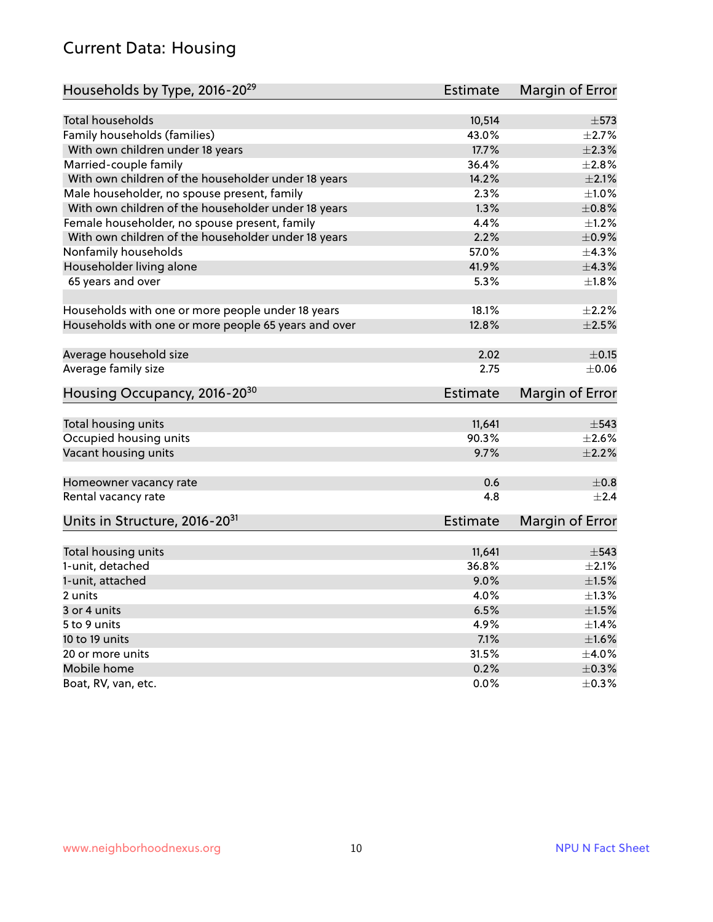#### Current Data: Housing

| Households by Type, 2016-20 <sup>29</sup>            | <b>Estimate</b> | Margin of Error |
|------------------------------------------------------|-----------------|-----------------|
|                                                      |                 |                 |
| <b>Total households</b>                              | 10,514          | $\pm$ 573       |
| Family households (families)                         | 43.0%           | $\pm 2.7\%$     |
| With own children under 18 years                     | 17.7%           | $\pm 2.3\%$     |
| Married-couple family                                | 36.4%           | ±2.8%           |
| With own children of the householder under 18 years  | 14.2%           | $\pm 2.1\%$     |
| Male householder, no spouse present, family          | 2.3%            | $\pm 1.0\%$     |
| With own children of the householder under 18 years  | 1.3%            | $\pm$ 0.8%      |
| Female householder, no spouse present, family        | 4.4%            | $\pm 1.2\%$     |
| With own children of the householder under 18 years  | 2.2%            | $\pm$ 0.9%      |
| Nonfamily households                                 | 57.0%           | ±4.3%           |
| Householder living alone                             | 41.9%           | ±4.3%           |
| 65 years and over                                    | 5.3%            | $\pm1.8\%$      |
|                                                      |                 |                 |
| Households with one or more people under 18 years    | 18.1%           | $\pm 2.2\%$     |
| Households with one or more people 65 years and over | 12.8%           | $\pm 2.5\%$     |
|                                                      |                 |                 |
| Average household size                               | 2.02            | $\pm$ 0.15      |
| Average family size                                  | 2.75            | $\pm 0.06$      |
| Housing Occupancy, 2016-20 <sup>30</sup>             | <b>Estimate</b> | Margin of Error |
|                                                      |                 |                 |
| Total housing units                                  | 11,641          | $\pm$ 543       |
| Occupied housing units                               | 90.3%           | $\pm 2.6\%$     |
| Vacant housing units                                 | 9.7%            | $\pm 2.2\%$     |
|                                                      |                 |                 |
| Homeowner vacancy rate                               | 0.6             | $\pm$ 0.8       |
| Rental vacancy rate                                  | 4.8             | $\pm 2.4$       |
|                                                      |                 |                 |
| Units in Structure, 2016-20 <sup>31</sup>            | <b>Estimate</b> | Margin of Error |
|                                                      |                 |                 |
| Total housing units                                  | 11,641          | $\pm$ 543       |
| 1-unit, detached                                     | 36.8%           | $\pm 2.1\%$     |
| 1-unit, attached                                     | 9.0%            | $\pm1.5\%$      |
| 2 units                                              | 4.0%            | $\pm 1.3\%$     |
| 3 or 4 units                                         | 6.5%            | $\pm 1.5\%$     |
| 5 to 9 units                                         | 4.9%            | $\pm$ 1.4%      |
| 10 to 19 units                                       | 7.1%            | $\pm1.6\%$      |
| 20 or more units                                     | 31.5%           | $\pm$ 4.0%      |
| Mobile home                                          | 0.2%            | $\pm$ 0.3%      |
| Boat, RV, van, etc.                                  | 0.0%            | $\pm$ 0.3%      |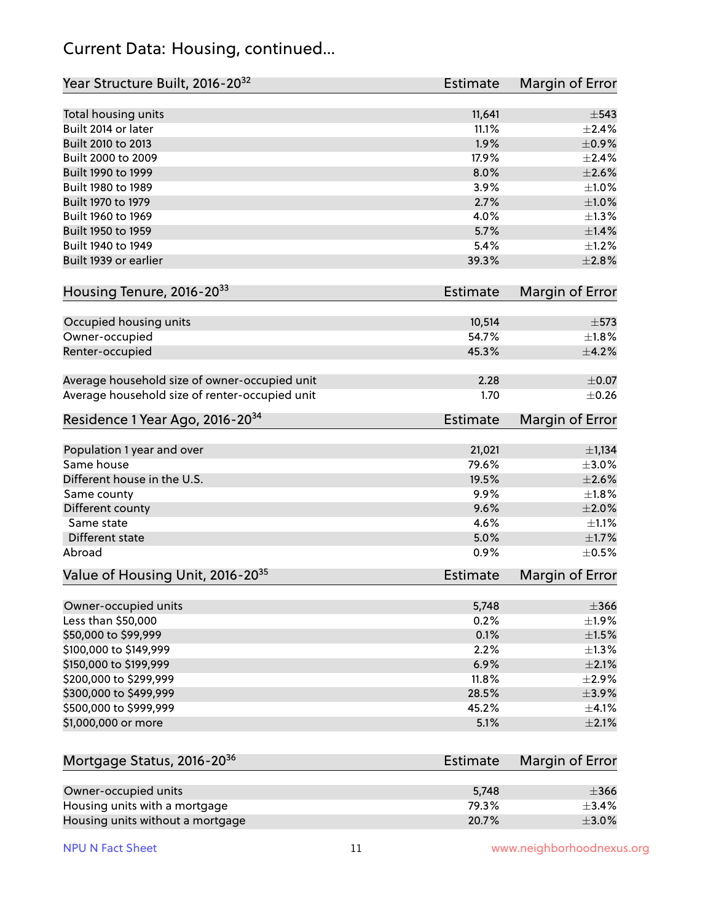#### Current Data: Housing, continued...

| Year Structure Built, 2016-20 <sup>32</sup>    | Estimate        | Margin of Error        |
|------------------------------------------------|-----------------|------------------------|
| Total housing units                            | 11,641          | $\pm$ 543              |
| Built 2014 or later                            | 11.1%           | $\pm 2.4\%$            |
| Built 2010 to 2013                             | 1.9%            | $\pm$ 0.9%             |
| Built 2000 to 2009                             | 17.9%           | $\pm 2.4\%$            |
| Built 1990 to 1999                             | 8.0%            | $\pm 2.6\%$            |
| Built 1980 to 1989                             | 3.9%            | $\pm1.0\%$             |
| Built 1970 to 1979                             | 2.7%            | $\pm 1.0\%$            |
| Built 1960 to 1969                             | 4.0%            | ±1.3%                  |
| Built 1950 to 1959                             | 5.7%            | $\pm$ 1.4%             |
| Built 1940 to 1949                             | 5.4%            | $\pm 1.2\%$            |
| Built 1939 or earlier                          | 39.3%           | $\pm 2.8\%$            |
| Housing Tenure, 2016-2033                      | <b>Estimate</b> | Margin of Error        |
| Occupied housing units                         | 10,514          | $\pm$ 573              |
| Owner-occupied                                 | 54.7%           | $\pm$ 1.8%             |
| Renter-occupied                                | 45.3%           | $\pm$ 4.2%             |
| Average household size of owner-occupied unit  | 2.28            | $\pm$ 0.07             |
| Average household size of renter-occupied unit | 1.70            | $\pm$ 0.26             |
| Residence 1 Year Ago, 2016-20 <sup>34</sup>    | <b>Estimate</b> | <b>Margin of Error</b> |
| Population 1 year and over                     | 21,021          | $\pm$ 1,134            |
| Same house                                     | 79.6%           | $\pm 3.0\%$            |
| Different house in the U.S.                    | 19.5%           | $\pm 2.6\%$            |
| Same county                                    | 9.9%            | $\pm 1.8\%$            |
| Different county                               | 9.6%            | $\pm 2.0\%$            |
| Same state                                     | 4.6%            | $\pm 1.1\%$            |
| Different state                                | 5.0%            | $\pm1.7\%$             |
| Abroad                                         | 0.9%            | $\pm$ 0.5%             |
| Value of Housing Unit, 2016-20 <sup>35</sup>   | <b>Estimate</b> | Margin of Error        |
| Owner-occupied units                           | 5,748           | $\pm 366$              |
| Less than \$50,000                             | 0.2%            | ±1.9%                  |
| \$50,000 to \$99,999                           | 0.1%            | $\pm 1.5\%$            |
| \$100,000 to \$149,999                         | 2.2%            | ±1.3%                  |
| \$150,000 to \$199,999                         | 6.9%            | $\pm 2.1\%$            |
| \$200,000 to \$299,999                         | 11.8%           | $\pm 2.9\%$            |
| \$300,000 to \$499,999                         | 28.5%           | $\pm$ 3.9%             |
| \$500,000 to \$999,999                         | 45.2%           | $\pm$ 4.1%             |
| \$1,000,000 or more                            | 5.1%            | $\pm 2.1\%$            |
| Mortgage Status, 2016-20 <sup>36</sup>         | <b>Estimate</b> | Margin of Error        |
| Owner-occupied units                           | 5,748           | $\pm 366$              |
| Housing units with a mortgage                  | 79.3%           | ±3.4%                  |

Housing units without a mortgage  $\pm 3.0\%$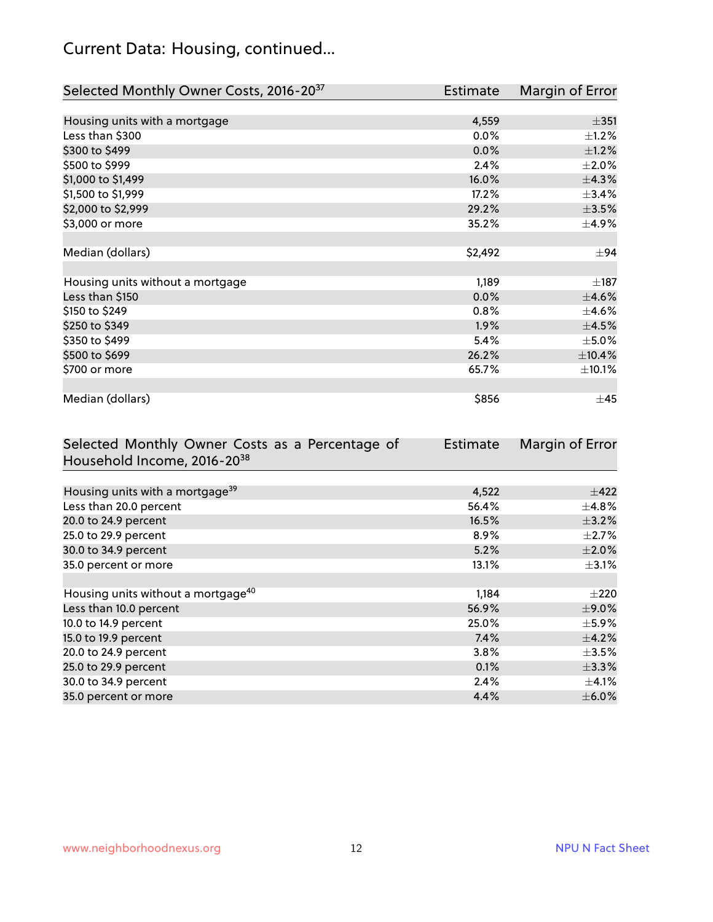## Current Data: Housing, continued...

| Selected Monthly Owner Costs, 2016-20 <sup>37</sup> | Estimate | Margin of Error |
|-----------------------------------------------------|----------|-----------------|
|                                                     |          |                 |
| Housing units with a mortgage                       | 4,559    | $\pm$ 351       |
| Less than \$300                                     | 0.0%     | $\pm 1.2\%$     |
| \$300 to \$499                                      | 0.0%     | $\pm$ 1.2%      |
| \$500 to \$999                                      | 2.4%     | $\pm 2.0\%$     |
| \$1,000 to \$1,499                                  | 16.0%    | ±4.3%           |
| \$1,500 to \$1,999                                  | 17.2%    | ±3.4%           |
| \$2,000 to \$2,999                                  | 29.2%    | $\pm 3.5\%$     |
| \$3,000 or more                                     | 35.2%    | $\pm$ 4.9%      |
|                                                     |          |                 |
| Median (dollars)                                    | \$2,492  | $\pm$ 94        |
|                                                     |          |                 |
| Housing units without a mortgage                    | 1,189    | $\pm$ 187       |
| Less than \$150                                     | 0.0%     | $\pm$ 4.6%      |
| \$150 to \$249                                      | 0.8%     | $\pm$ 4.6%      |
| \$250 to \$349                                      | 1.9%     | $\pm 4.5\%$     |
| \$350 to \$499                                      | 5.4%     | $\pm$ 5.0%      |
| \$500 to \$699                                      | 26.2%    | ±10.4%          |
| \$700 or more                                       | 65.7%    | $\pm$ 10.1%     |
|                                                     |          |                 |
| Median (dollars)                                    | \$856    | $\pm$ 45        |

| Selected Monthly Owner Costs as a Percentage of | Estimate | Margin of Error |
|-------------------------------------------------|----------|-----------------|
| Household Income, 2016-20 <sup>38</sup>         |          |                 |
|                                                 |          |                 |
| Housing units with a mortgage <sup>39</sup>     | 4,522    | $\pm$ 422       |
| Less than 20.0 percent                          | 56.4%    | $\pm$ 4.8%      |
| 20.0 to 24.9 percent                            | 16.5%    | $\pm$ 3.2%      |
| 25.0 to 29.9 percent                            | 8.9%     | $\pm 2.7\%$     |
| 30.0 to 34.9 percent                            | 5.2%     | $\pm 2.0\%$     |
| 35.0 percent or more                            | 13.1%    | $\pm$ 3.1%      |
|                                                 |          |                 |
| Housing units without a mortgage <sup>40</sup>  | 1,184    | $\pm 220$       |
| Less than 10.0 percent                          | 56.9%    | $\pm$ 9.0%      |
| 10.0 to 14.9 percent                            | 25.0%    | $\pm$ 5.9%      |
| 15.0 to 19.9 percent                            | 7.4%     | $\pm$ 4.2%      |
| 20.0 to 24.9 percent                            | $3.8\%$  | $\pm$ 3.5%      |
| 25.0 to 29.9 percent                            | 0.1%     | $\pm$ 3.3%      |
| 30.0 to 34.9 percent                            | 2.4%     | $\pm$ 4.1%      |
| 35.0 percent or more                            | 4.4%     | $\pm$ 6.0%      |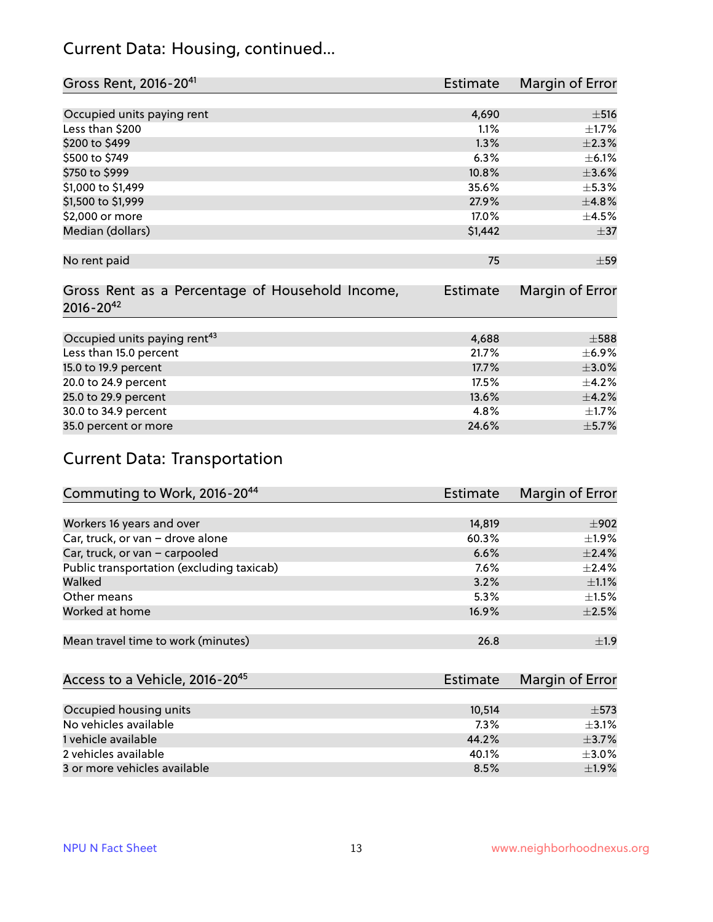#### Current Data: Housing, continued...

| Gross Rent, 2016-20 <sup>41</sup>               | Estimate | Margin of Error |
|-------------------------------------------------|----------|-----------------|
|                                                 |          |                 |
| Occupied units paying rent                      | 4,690    | $\pm$ 516       |
| Less than \$200                                 | 1.1%     | $\pm 1.7\%$     |
| \$200 to \$499                                  | 1.3%     | $\pm 2.3\%$     |
| \$500 to \$749                                  | 6.3%     | $\pm$ 6.1%      |
| \$750 to \$999                                  | 10.8%    | $\pm 3.6\%$     |
| \$1,000 to \$1,499                              | 35.6%    | $\pm$ 5.3%      |
| \$1,500 to \$1,999                              | 27.9%    | ±4.8%           |
| \$2,000 or more                                 | 17.0%    | $\pm$ 4.5%      |
| Median (dollars)                                | \$1,442  | $\pm$ 37        |
|                                                 |          |                 |
| No rent paid                                    | 75       | $\pm$ 59        |
|                                                 |          |                 |
| Gross Rent as a Percentage of Household Income, | Estimate | Margin of Error |
| $2016 - 20^{42}$                                |          |                 |
|                                                 |          |                 |
| Occupied units paying rent <sup>43</sup>        | 4,688    | $\pm$ 588       |
| Less than 15.0 percent                          | 21.7%    | $\pm$ 6.9%      |
| 15.0 to 19.9 percent                            | 17.7%    | $\pm 3.0\%$     |
| 20.0 to 24.9 percent                            | 17.5%    | $\pm$ 4.2%      |
| 25.0 to 29.9 percent                            | 13.6%    | $\pm$ 4.2%      |
| 30.0 to 34.9 percent                            | 4.8%     | $\pm$ 1.7%      |
| 35.0 percent or more                            | 24.6%    | $\pm$ 5.7%      |

## Current Data: Transportation

| Commuting to Work, 2016-20 <sup>44</sup>  | Estimate | Margin of Error |
|-------------------------------------------|----------|-----------------|
|                                           |          |                 |
| Workers 16 years and over                 | 14,819   | $\pm$ 902       |
| Car, truck, or van - drove alone          | 60.3%    | $\pm 1.9\%$     |
| Car, truck, or van - carpooled            | 6.6%     | $\pm$ 2.4%      |
| Public transportation (excluding taxicab) | 7.6%     | $+2.4%$         |
| Walked                                    | 3.2%     | $\pm 1.1\%$     |
| Other means                               | 5.3%     | $\pm 1.5\%$     |
| Worked at home                            | 16.9%    | $\pm 2.5\%$     |
|                                           |          |                 |
| Mean travel time to work (minutes)        | 26.8     | ±1.9            |

| Access to a Vehicle, 2016-20 <sup>45</sup> | Estimate | Margin of Error |
|--------------------------------------------|----------|-----------------|
|                                            |          |                 |
| Occupied housing units                     | 10,514   | $\pm$ 573       |
| No vehicles available                      | 7.3%     | $+3.1%$         |
| 1 vehicle available                        | 44.2%    | $\pm$ 3.7%      |
| 2 vehicles available                       | 40.1%    | $\pm$ 3.0%      |
| 3 or more vehicles available               | 8.5%     | ±1.9%           |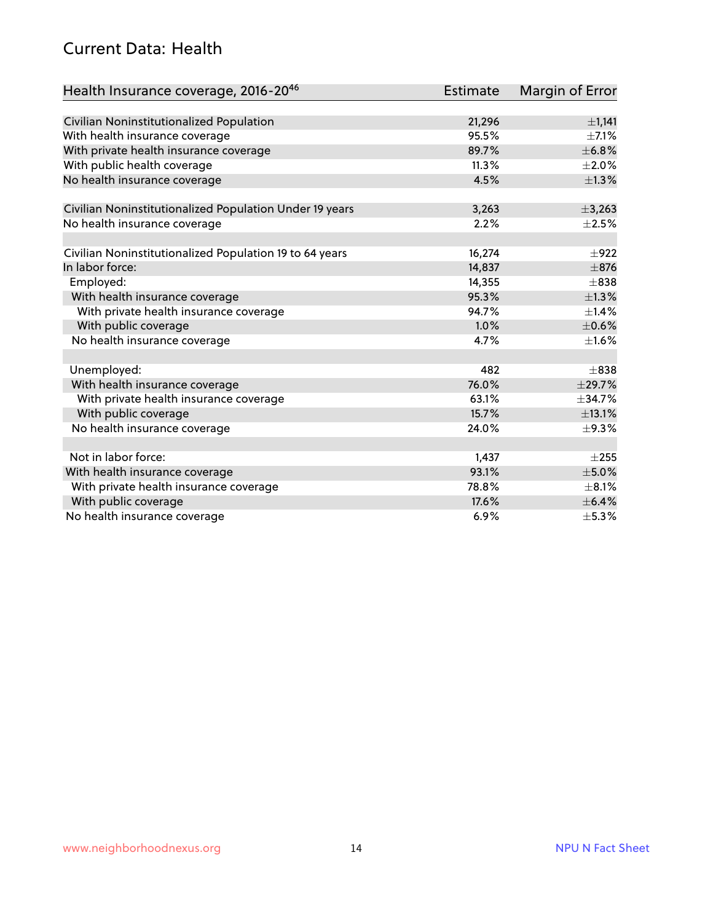#### Current Data: Health

| Health Insurance coverage, 2016-2046                    | <b>Estimate</b> | Margin of Error |
|---------------------------------------------------------|-----------------|-----------------|
|                                                         |                 |                 |
| Civilian Noninstitutionalized Population                | 21,296          | $\pm$ 1,141     |
| With health insurance coverage                          | 95.5%           | $\pm$ 7.1%      |
| With private health insurance coverage                  | 89.7%           | ±6.8%           |
| With public health coverage                             | 11.3%           | $\pm 2.0\%$     |
| No health insurance coverage                            | 4.5%            | $\pm 1.3\%$     |
| Civilian Noninstitutionalized Population Under 19 years | 3,263           | ±3,263          |
| No health insurance coverage                            | 2.2%            | $\pm 2.5\%$     |
|                                                         |                 |                 |
| Civilian Noninstitutionalized Population 19 to 64 years | 16,274          | $\pm$ 922       |
| In labor force:                                         | 14,837          | $\pm$ 876       |
| Employed:                                               | 14,355          | $\pm$ 838       |
| With health insurance coverage                          | 95.3%           | $\pm$ 1.3%      |
| With private health insurance coverage                  | 94.7%           | ±1.4%           |
| With public coverage                                    | 1.0%            | $\pm$ 0.6%      |
| No health insurance coverage                            | 4.7%            | $\pm1.6\%$      |
|                                                         |                 |                 |
| Unemployed:                                             | 482             | $\pm$ 838       |
| With health insurance coverage                          | 76.0%           | ±29.7%          |
| With private health insurance coverage                  | 63.1%           | ±34.7%          |
| With public coverage                                    | 15.7%           | ±13.1%          |
| No health insurance coverage                            | 24.0%           | $\pm$ 9.3%      |
|                                                         |                 |                 |
| Not in labor force:                                     | 1,437           | $\pm 255$       |
| With health insurance coverage                          | 93.1%           | $\pm$ 5.0%      |
| With private health insurance coverage                  | 78.8%           | $\pm$ 8.1%      |
| With public coverage                                    | 17.6%           | $\pm$ 6.4%      |
| No health insurance coverage                            | 6.9%            | $\pm$ 5.3%      |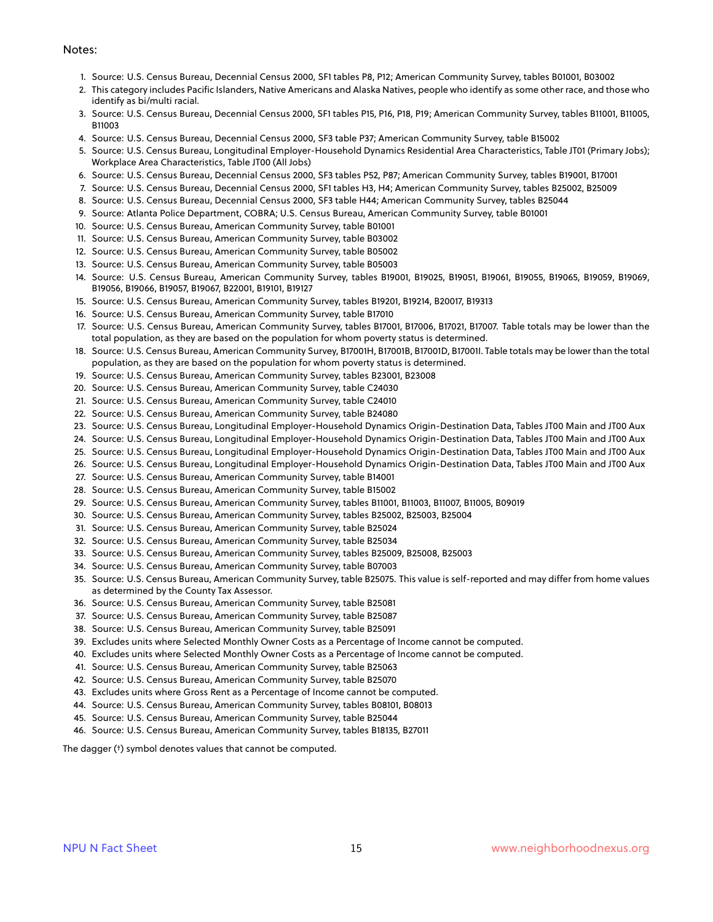#### Notes:

- 1. Source: U.S. Census Bureau, Decennial Census 2000, SF1 tables P8, P12; American Community Survey, tables B01001, B03002
- 2. This category includes Pacific Islanders, Native Americans and Alaska Natives, people who identify as some other race, and those who identify as bi/multi racial.
- 3. Source: U.S. Census Bureau, Decennial Census 2000, SF1 tables P15, P16, P18, P19; American Community Survey, tables B11001, B11005, B11003
- 4. Source: U.S. Census Bureau, Decennial Census 2000, SF3 table P37; American Community Survey, table B15002
- 5. Source: U.S. Census Bureau, Longitudinal Employer-Household Dynamics Residential Area Characteristics, Table JT01 (Primary Jobs); Workplace Area Characteristics, Table JT00 (All Jobs)
- 6. Source: U.S. Census Bureau, Decennial Census 2000, SF3 tables P52, P87; American Community Survey, tables B19001, B17001
- 7. Source: U.S. Census Bureau, Decennial Census 2000, SF1 tables H3, H4; American Community Survey, tables B25002, B25009
- 8. Source: U.S. Census Bureau, Decennial Census 2000, SF3 table H44; American Community Survey, tables B25044
- 9. Source: Atlanta Police Department, COBRA; U.S. Census Bureau, American Community Survey, table B01001
- 10. Source: U.S. Census Bureau, American Community Survey, table B01001
- 11. Source: U.S. Census Bureau, American Community Survey, table B03002
- 12. Source: U.S. Census Bureau, American Community Survey, table B05002
- 13. Source: U.S. Census Bureau, American Community Survey, table B05003
- 14. Source: U.S. Census Bureau, American Community Survey, tables B19001, B19025, B19051, B19061, B19055, B19065, B19059, B19069, B19056, B19066, B19057, B19067, B22001, B19101, B19127
- 15. Source: U.S. Census Bureau, American Community Survey, tables B19201, B19214, B20017, B19313
- 16. Source: U.S. Census Bureau, American Community Survey, table B17010
- 17. Source: U.S. Census Bureau, American Community Survey, tables B17001, B17006, B17021, B17007. Table totals may be lower than the total population, as they are based on the population for whom poverty status is determined.
- 18. Source: U.S. Census Bureau, American Community Survey, B17001H, B17001B, B17001D, B17001I. Table totals may be lower than the total population, as they are based on the population for whom poverty status is determined.
- 19. Source: U.S. Census Bureau, American Community Survey, tables B23001, B23008
- 20. Source: U.S. Census Bureau, American Community Survey, table C24030
- 21. Source: U.S. Census Bureau, American Community Survey, table C24010
- 22. Source: U.S. Census Bureau, American Community Survey, table B24080
- 23. Source: U.S. Census Bureau, Longitudinal Employer-Household Dynamics Origin-Destination Data, Tables JT00 Main and JT00 Aux
- 24. Source: U.S. Census Bureau, Longitudinal Employer-Household Dynamics Origin-Destination Data, Tables JT00 Main and JT00 Aux
- 25. Source: U.S. Census Bureau, Longitudinal Employer-Household Dynamics Origin-Destination Data, Tables JT00 Main and JT00 Aux
- 26. Source: U.S. Census Bureau, Longitudinal Employer-Household Dynamics Origin-Destination Data, Tables JT00 Main and JT00 Aux
- 27. Source: U.S. Census Bureau, American Community Survey, table B14001
- 28. Source: U.S. Census Bureau, American Community Survey, table B15002
- 29. Source: U.S. Census Bureau, American Community Survey, tables B11001, B11003, B11007, B11005, B09019
- 30. Source: U.S. Census Bureau, American Community Survey, tables B25002, B25003, B25004
- 31. Source: U.S. Census Bureau, American Community Survey, table B25024
- 32. Source: U.S. Census Bureau, American Community Survey, table B25034
- 33. Source: U.S. Census Bureau, American Community Survey, tables B25009, B25008, B25003
- 34. Source: U.S. Census Bureau, American Community Survey, table B07003
- 35. Source: U.S. Census Bureau, American Community Survey, table B25075. This value is self-reported and may differ from home values as determined by the County Tax Assessor.
- 36. Source: U.S. Census Bureau, American Community Survey, table B25081
- 37. Source: U.S. Census Bureau, American Community Survey, table B25087
- 38. Source: U.S. Census Bureau, American Community Survey, table B25091
- 39. Excludes units where Selected Monthly Owner Costs as a Percentage of Income cannot be computed.
- 40. Excludes units where Selected Monthly Owner Costs as a Percentage of Income cannot be computed.
- 41. Source: U.S. Census Bureau, American Community Survey, table B25063
- 42. Source: U.S. Census Bureau, American Community Survey, table B25070
- 43. Excludes units where Gross Rent as a Percentage of Income cannot be computed.
- 44. Source: U.S. Census Bureau, American Community Survey, tables B08101, B08013
- 45. Source: U.S. Census Bureau, American Community Survey, table B25044
- 46. Source: U.S. Census Bureau, American Community Survey, tables B18135, B27011

The dagger (†) symbol denotes values that cannot be computed.